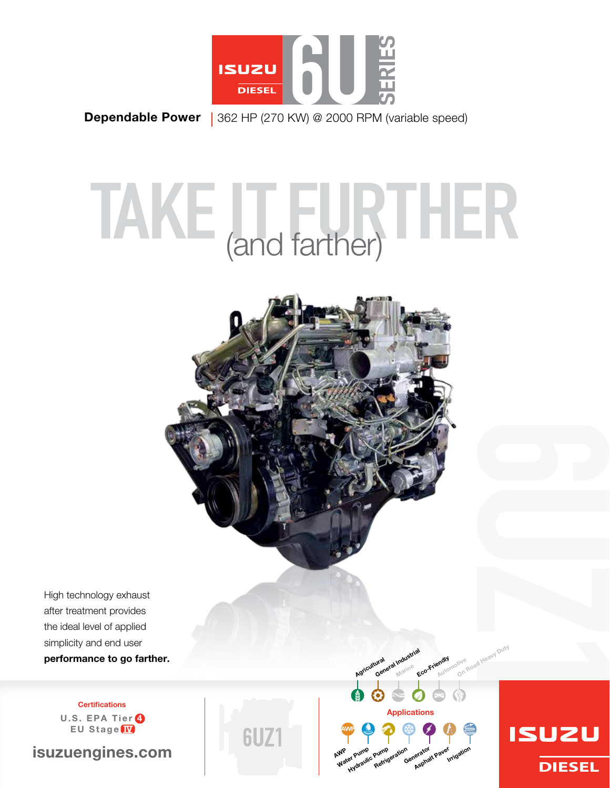

**Dependable Power** | 362 HP (270 KW) @ 2000 RPM (variable speed)

# TAKE (and farther)



High technology exhaust after treatment provides the ideal level of applied simplicity and end user performance to go farther.

> **Certifications** U.S. EPA Tier 4 EU Stage IV

isuzuengines.com